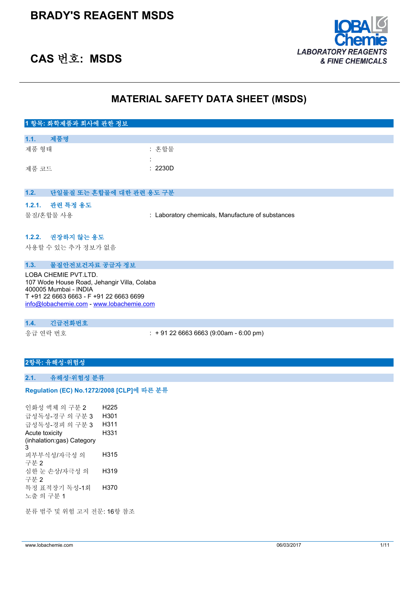

## **CAS 번호: MSDS**

## **MATERIAL SAFETY DATA SHEET (MSDS)**

| 1 항목: 화학제품과 회사에 관한 정보                   |                                                   |
|-----------------------------------------|---------------------------------------------------|
| 제품명<br>1.1.                             |                                                   |
| 제품 형태                                   | : 혼합물<br>÷                                        |
| 제품 코드                                   | : 2230D                                           |
| 단일물질 또는 혼합물에 대한 관련 용도 구분<br>1.2.        |                                                   |
| 1.2.1. 관련 특정 용도<br>물질/혼합물 사용            | : Laboratory chemicals, Manufacture of substances |
| 1.2.2. 권장하지 않는 용도<br>사용할 수 있는 추가 정보가 없음 |                                                   |

LOBA CHEMIE PVT.LTD. 107 Wode House Road, Jehangir Villa, Colaba 400005 Mumbai - INDIA T +91 22 6663 6663 - F +91 22 6663 6699 [info@lobachemie.com](mailto:info@lobachemie.com) - <www.lobachemie.com>

**1.3. 물질안전보건자료 공급자 정보**

#### **1.4. 긴급전화번호**

응급 연락 번호 : + 91 22 6663 6663 (9:00am - 6:00 pm)

#### **2항목: 유해성·위험성**

#### **2.1. 유해성·위험성 분류**

#### Regulation (EC) No.1272/2008 [CLP]에 따른 분류

인화성 액체 의 구분 2 H225 급성독성-경구 의 구분 3 H301 급성독성-경피 의 구분 3 H311 Acute toxicity (inhalation:gas) Category 3 H331 피부부식성/자극성 의 구분 2 H315 심한 눈 손상/자극성 의 구분 2 H319 특정 표적장기 독성-1회 노출 의 구분 1 H370

분류 범주 및 위험 고지 전문: 16항 참조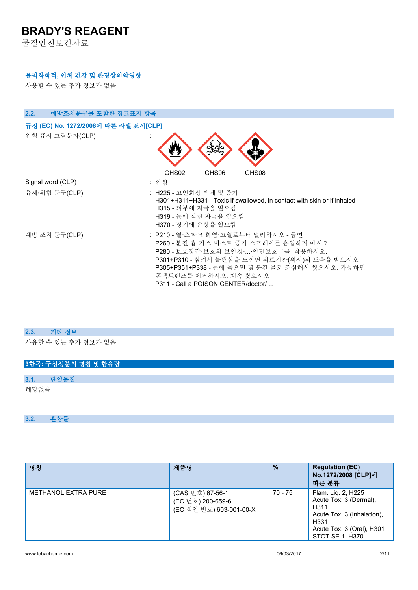물질안전보건자료

### **물리화학적, 인체 건강 및 환경상의악영향**

사용할 수 있는 추가 정보가 없음

| 예방조치문구를 포함한 경고표지 항목<br>2.2.          |                                                                                                                                                                                                                                                                                     |
|--------------------------------------|-------------------------------------------------------------------------------------------------------------------------------------------------------------------------------------------------------------------------------------------------------------------------------------|
| 규정 (EC) No. 1272/2008에 따른 라벨 표시[CLP] |                                                                                                                                                                                                                                                                                     |
| 위험 표시 그림문자(CLP)                      |                                                                                                                                                                                                                                                                                     |
|                                      | GHS02<br>GHS06<br>GHS08                                                                                                                                                                                                                                                             |
| Signal word (CLP)                    | : 위험                                                                                                                                                                                                                                                                                |
| 유해·위험 문구(CLP)                        | : H225 - 고인화성 액체 및 증기<br>H301+H311+H331 - Toxic if swallowed, in contact with skin or if inhaled<br>H315 - 피부에 자극을 일으킴<br>H319 - 눈에 심한 자극을 일으킴<br>H370 - 장기에 손상을 일으킴                                                                                                                |
| 예방 조치 문구(CLP)                        | : P210 - 열·스파크·화염·고열로부터 멀리하시오 - 금연<br>P260 - 분진·흄·가스·미스트·증기·스프레이를 흡입하지 마시오.<br>P280 - 보호장갑·보호의·보안경··안면보호구를 착용하시오.<br>P301+P310 - 삼켜서 불편함을 느끼면 의료기관(의사)의 도움을 받으시오<br>P305+P351+P338 - 눈에 묻으면 몇 분간 물로 조심해서 씻으시오. 가능하면<br>콘택트렌즈를 제거하시오. 계속 씻으시오<br>P311 - Call a POISON CENTER/doctor/ |

## **2.3. 기타 정보**

사용할 수 있는 추가 정보가 없음

|      |      | 3항목: 구성성분의 명칭 및 함유량 |  |  |  |  |
|------|------|---------------------|--|--|--|--|
|      |      |                     |  |  |  |  |
| 3.1. | 단일물질 |                     |  |  |  |  |
| 해당없음 |      |                     |  |  |  |  |

|--|

| <b>METHANOL EXTRA PURE</b><br>70 - 75<br>(CAS 번호) 67-56-1<br>(EC 번호) 200-659-6 | <b>Regulation (EC)</b><br>No.1272/2008 [CLP]에<br>따른 분류                                                                                                 |
|--------------------------------------------------------------------------------|--------------------------------------------------------------------------------------------------------------------------------------------------------|
| (EC 색인 번호) 603-001-00-X                                                        | Flam. Lig. 2, H225<br>Acute Tox. 3 (Dermal),<br>H <sub>311</sub><br>Acute Tox. 3 (Inhalation).<br>H331<br>Acute Tox. 3 (Oral), H301<br>STOT SE 1, H370 |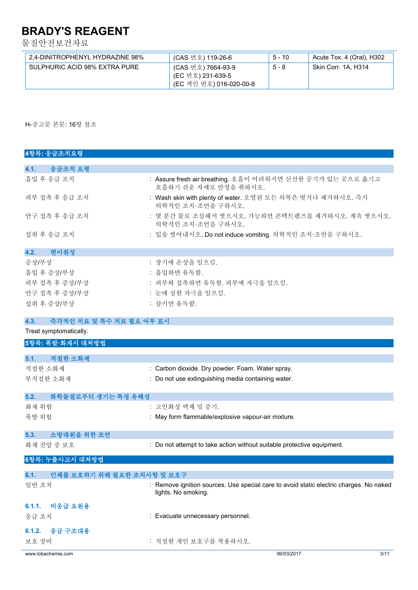물질안전보건자료

| 2.4-DINITROPHENYL HYDRAZINE 98% | (CAS 번호) 119-26-6                                                  | $5 - 10$ | Acute Tox. 4 (Oral), H302 |
|---------------------------------|--------------------------------------------------------------------|----------|---------------------------|
| SULPHURIC ACID 98% EXTRA PURE   | (CAS 번호) 7664-93-9<br>(EC 번호) 231-639-5<br>(EC 색인 번호) 016-020-00-8 | $5 - 8$  | Skin Corr. 1A, H314       |

H-공고문 본문: 16항 참조

| 4항목: 응급조치요령                        |                                                                                                               |
|------------------------------------|---------------------------------------------------------------------------------------------------------------|
| 응급조치 요령<br>4.1.                    |                                                                                                               |
| 흡입 후 응급 조치                         | : Assure fresh air breathing. 호흡이 어려워지면 신선한 공기가 있는 곳으로 옮기고<br>호흡하기 쉬운 자세로 안정을 취하시오.                           |
| 피부 접촉 후 응급 조치                      | : Wash skin with plenty of water. 오염된 모든 의복은 벗거나 제거하시오. 즉시<br>의학적인 조치· 조언을 구하시오.                              |
| 안구 접촉 후 응급 조치                      | : 몇 분간 물로 조심해서 씻으시오. 가능하면 콘택트렌즈를 제거하시오. 계속 씻으시오.<br>의학적인 조치·조언을 구하시오.                                         |
| 섭취 후 응급 조치                         | : 입을 씻어내시오. Do not induce vomiting. 의학적인 조치·조언을 구하시오.                                                         |
| 변이원성<br>4.2.                       |                                                                                                               |
| 증상/부상                              | : 장기에 손상을 일으킴.                                                                                                |
| 흡입 후 증상/부상                         | : 흡입하면 유독함.                                                                                                   |
| 피부 접촉 후 증상/부상                      | : 피부와 접촉하면 유독함. 피부에 자극을 일으킴.                                                                                  |
| 안구 접촉 후 증상/부상                      | : 눈에 심한 자극을 일으킴.                                                                                              |
| 섭취 후 증상/부상                         | : 삼키면 유독함.                                                                                                    |
| 즉각적인 치료 및 특수 치료 필요 여부 표시<br>4.3.   |                                                                                                               |
| Treat symptomatically.             |                                                                                                               |
| 5항목: 폭발·화재시 대처방법                   |                                                                                                               |
| 적절한 소화제<br>5.1.                    |                                                                                                               |
| 적절한 소화제                            | : Carbon dioxide. Dry powder. Foam. Water spray.                                                              |
| 부적절한 소화재                           | : Do not use extinguishing media containing water.                                                            |
| 화학물질로부터 생기는 특정 유해성<br>5.2.         |                                                                                                               |
| 화재 위험                              | : 고인화성 액체 및 증기.                                                                                               |
| 폭발 위험                              | : May form flammable/explosive vapour-air mixture.                                                            |
| 소방대원을 위한 조언<br>5.3.                |                                                                                                               |
| 화재 진압 중 보호                         | : Do not attempt to take action without suitable protective equipment.                                        |
| 6항목: 누출사고시 대처방법                    |                                                                                                               |
| 인체를 보호하기 위해 필요한 조치사항 및 보호구<br>6.1. |                                                                                                               |
| 일반 조치                              | : Remove ignition sources. Use special care to avoid static electric charges. No naked<br>lights. No smoking. |
| 비응급 요원용<br>6.1.1.                  |                                                                                                               |
| 응급 조치                              | : Evacuate unnecessary personnel.                                                                             |
| 응급 구조대용<br>6.1.2.                  |                                                                                                               |
| 보호 장비                              | : 적절한 개인 보호구를 착용하시오.                                                                                          |
| www.lobachemie.com                 | 06/03/2017<br>3/11                                                                                            |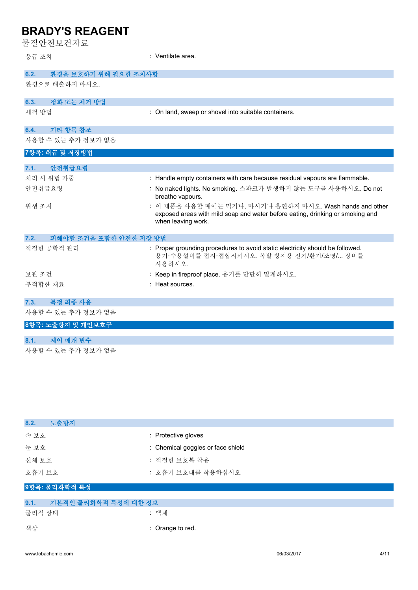물질안전보건자료

| ㄷ ㄷ ㄴ ㄴㅡㅡ ㄴ′ ㅣㅡ                |                                                                                                                                                                 |
|--------------------------------|-----------------------------------------------------------------------------------------------------------------------------------------------------------------|
| 응급 조치                          | : Ventilate area.                                                                                                                                               |
| 6.2.<br>환경을 보호하기 위해 필요한 조치사항   |                                                                                                                                                                 |
| 환경으로 배출하지 마시오.                 |                                                                                                                                                                 |
| 정화 또는 제거 방법<br>6.3.            |                                                                                                                                                                 |
| 세척 방법                          | : On land, sweep or shovel into suitable containers.                                                                                                            |
| 기타 항목 참조<br>6.4.               |                                                                                                                                                                 |
| 사용할 수 있는 추가 정보가 없음             |                                                                                                                                                                 |
| 7항목: 취급 및 저장방법                 |                                                                                                                                                                 |
| 안전취급요령<br>7.1.                 |                                                                                                                                                                 |
| 처리 시 위험 가중                     | : Handle empty containers with care because residual vapours are flammable.                                                                                     |
| 안전취급요령                         | : No naked lights. No smoking. 스파크가 발생하지 않는 도구를 사용하시오. Do not<br>breathe vapours.                                                                               |
| 위생 조치                          | : 이 제품을 사용할 때에는 먹거나, 마시거나 흡연하지 마시오. Wash hands and other<br>exposed areas with mild soap and water before eating, drinking or smoking and<br>when leaving work. |
| 피해야할 조건을 포함한 안전한 저장 방법<br>7.2. |                                                                                                                                                                 |
| 적절한 공학적 관리                     | : Proper grounding procedures to avoid static electricity should be followed.<br>용기·수용설비를 접지·접합시키시오. 폭발 방지용 전기/환기/조명/ 장비를<br>사용하시오.                             |
| 보관 조건                          | : Keep in fireproof place. 용기를 단단히 밀폐하시오.                                                                                                                       |
| 부적합한 재료                        | : Heat sources.                                                                                                                                                 |
|                                |                                                                                                                                                                 |
| 특정 최종 사용<br>7.3.               |                                                                                                                                                                 |
| 사용할 수 있는 추가 정보가 없음             |                                                                                                                                                                 |
| 8항목: 노출방지 및 개인보호구              |                                                                                                                                                                 |
| 제어 매개 변수<br>8.1.               |                                                                                                                                                                 |
|                                |                                                                                                                                                                 |

| 사용할 수 있는 추가 정보가 없음 |  |  |  |  |  |
|--------------------|--|--|--|--|--|
|--------------------|--|--|--|--|--|

| 8.2.<br>노출방지                 |                                   |
|------------------------------|-----------------------------------|
| 손보호                          | : Protective gloves               |
| 눈보호                          | : Chemical goggles or face shield |
| 신체 보호                        | : 적절한 보호복 착용                      |
| 호흡기 보호                       | : 호흡기 보호대를 착용하십시오                 |
| 9항목: 물리화학적 특성                |                                   |
| 9.1.<br>기본적인 물리화학적 특성에 대한 정보 |                                   |
| 물리적 상태                       | : 액체                              |
| 색상                           | : Orange to red.                  |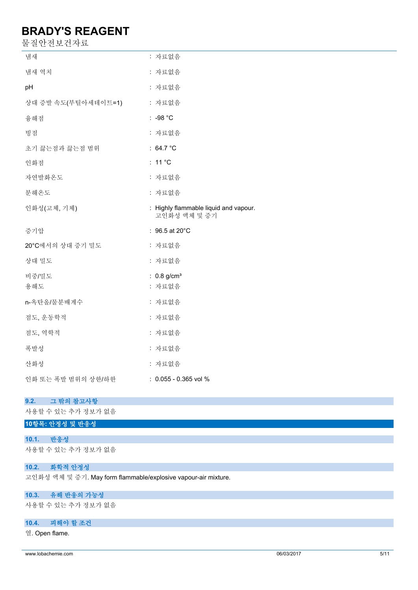물질안전보건자료

| 냄새                  | : 자료없음                                                |
|---------------------|-------------------------------------------------------|
| 냄새 역치               | : 자료없음                                                |
| pH                  | : 자료없음                                                |
| 상대 증발 속도(부틸아세테이트=1) | : 자료없음                                                |
| 융해점                 | : -98 °C                                              |
| 빙점                  | : 자료없음                                                |
| 초기 끓는점과 끓는점 범위      | : $64.7^{\circ}$ C                                    |
| 인화점                 | : $11^{\circ}$ C                                      |
| 자연발화온도              | : 자료없음                                                |
| 분해온도                | : 자료없음                                                |
| 인화성(고체, 기체)         | : Highly flammable liquid and vapour.<br>고인화성 액체 및 증기 |
| 증기압                 | : $96.5$ at 20 $^{\circ}$ C                           |
| 20°C에서의 상대 증기 밀도    | : 자료없음                                                |
| 상대 밀도               | : 자료없음                                                |
| 비중/밀도               | : $0.8$ g/cm <sup>3</sup>                             |
| 용해도                 | : 자료없음                                                |
| n-옥탄올/물분배계수         | : 자료없음                                                |
| 점도, 운동학적            | : 자료없음                                                |
| 점도, 역학적             | : 자료없음                                                |
| 폭발성                 | : 자료없음                                                |
| 산화성                 | : 자료없음                                                |
| 인화 또는 폭발 범위의 상한/하한  | : 0.055 - 0.365 vol %                                 |

#### **9.2. 그 밖의 참고사항**

사용할 수 있는 추가 정보가 없음

### **10항목: 안정성 및 반응성**

**10.1. 반응성**

사용할 수 있는 추가 정보가 없음

### **10.2. 화학적 안정성**

고인화성 액체 및 증기. May form flammable/explosive vapour-air mixture.

## **10.3. 유해 반응의 가능성**

사용할 수 있는 추가 정보가 없음

### **10.4. 피해야 할 조건**

열. Open flame.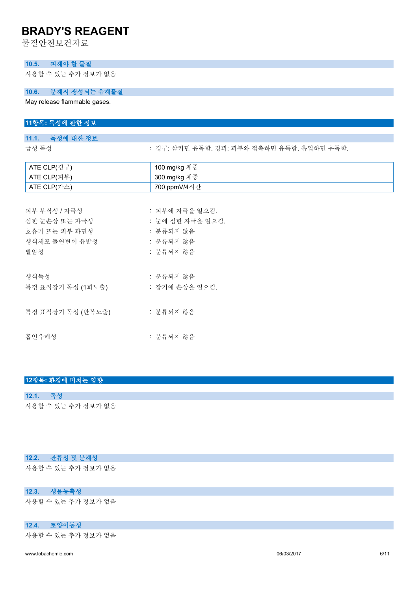물질안전보건자료

#### **10.5. 피해야 할 물질**

사용할 수 있는 추가 정보가 없음

### **10.6. 분해시 생성되는 유해물질**

May release flammable gases.

# **11항목: 독성에 관한 정보 11.1. 독성에 대한 정보** 급성 독성 : 기능 : 경구: 삼키면 유독함. 경피: 피부와 접촉하면 유독함. 흡입하면 유독함. ATE CLP(경구) 100 mg/kg 체중 ATE CLP(피부) 300 mg/kg 체중 ATE CLP(가스)  $\vert$  700 ppmV/4시간 피부 부식성 / 자극성 : 피부에 자극을 일으킴. 심한 눈손상 또는 자극성 : 눈에 심한 자극을 일으킴. 호흡기 또는 피부 과민성 : 분류되지 않음 생식세포 돌연변이 유발성 : 분류되지 않음 발암성 : 분류되지 않음 생식독성 : 부류되지 않음 특정 표적장기 독성 (1회노출) : 장기에 손상을 일으킴.

- 특정 표적장기 독성 (반복노출) : 분류되지 않음
- 흡인유해성 : 분류되지 않음

### **12항목: 환경에 미치는 영향**

#### **12.1. 독성**

사용할 수 있는 추가 정보가 없음

### **12.2. 잔류성 및 분해성**

사용할 수 있는 추가 정보가 없음

## **12.3. 생물농축성**

사용할 수 있는 추가 정보가 없음

### **12.4. 토양이동성**

사용할 수 있는 추가 정보가 없음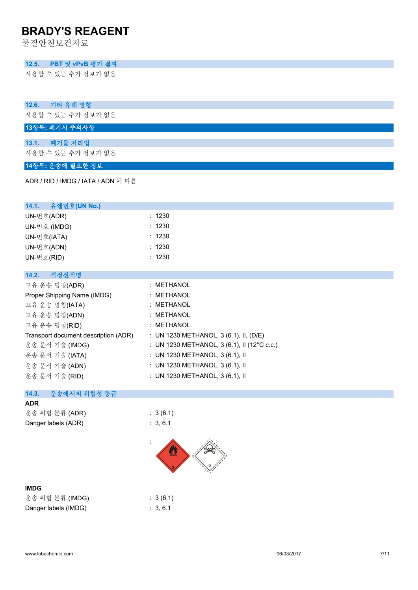물질안전보건자료

#### **12.5. PBT 및 vPvB 평가 결과**

사용할 수 있는 추가 정보가 없음

#### **12.6. 기타 유해 영향**

사용할 수 있는 추가 정보가 없음

## **13항목: 폐기시 주의사항**

#### **13.1. 폐기물 처리법**

사용할 수 있는 추가 정보가 없음

## **14항목: 운송에 필요한 정보**

ADR / RID / IMDG / IATA / ADN 에 따름

| 14.1. 유엔번호(UN No.)                   |                                             |
|--------------------------------------|---------------------------------------------|
| UN-번호(ADR)                           | : 1230                                      |
| UN-번호 (IMDG)                         | : 1230                                      |
| UN-번호(IATA)                          | : 1230                                      |
| UN-번호(ADN)                           | : 1230                                      |
| UN-번호(RID)                           | : 1230                                      |
|                                      |                                             |
| 적정선적명<br>14.2.                       |                                             |
| 고유 운송 명칭(ADR)                        | : METHANOL                                  |
| Proper Shipping Name (IMDG)          | : METHANOL                                  |
| 고유 운송 명칭(IATA)                       | : METHANOL                                  |
| 고유 운송 명칭(ADN)                        | : METHANOL                                  |
| 고유 운송 명칭(RID)                        | : METHANOL                                  |
| Transport document description (ADR) | : UN 1230 METHANOL, 3 (6.1), II, (D/E)      |
| 운송 문서 기술 (IMDG)                      | : UN 1230 METHANOL, 3 (6.1), II (12°C c.c.) |
| 운송 문서 기술 (IATA)                      | : UN 1230 METHANOL, $3(6.1)$ , II           |
| 운송 문서 기술 (ADN)                       | : UN 1230 METHANOL, 3 (6.1), II             |
| 운송 문서 기술 (RID)                       | : UN 1230 METHANOL, 3 (6.1), II             |

## **14.3. 운송에서의 위험성 등급**

#### **ADR**

운송 위험 분류 (ADR) : 3 (6.1) Danger labels (ADR) : 3, 6.1



#### **IMDG**

| 운송 위험 분류 (IMDG)      |
|----------------------|
| Danger labels (IMDG) |

 $: 3(6.1)$  $: 3, 6.1$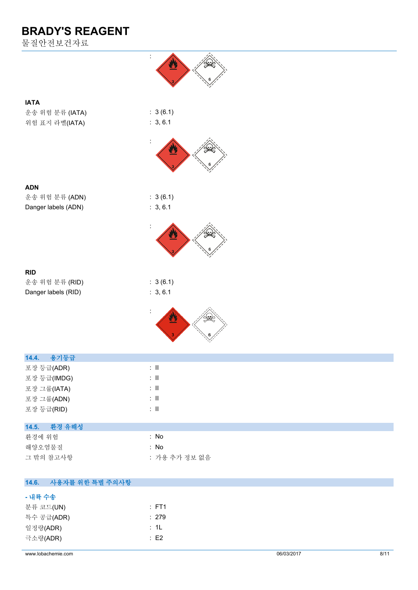물질안전보건자료



|                     | `Y⁄`                      |
|---------------------|---------------------------|
| <b>IATA</b>         |                           |
| 운송 위험 분류 (IATA)     | : 3(6.1)                  |
| 위험 표지 라벨(IATA)      | : 3, 6.1                  |
|                     | $\ddot{\phantom{a}}$      |
| <b>ADN</b>          |                           |
| 운송 위험 분류 (ADN)      | : 3(6.1)                  |
| Danger labels (ADN) | : 3, 6.1                  |
|                     |                           |
| <b>RID</b>          |                           |
| 운송 위험 분류 (RID)      | : 3(6.1)                  |
| Danger labels (RID) | : 3, 6.1                  |
|                     | :                         |
| 용기등급<br>14.4.       |                           |
| 포장 등급(ADR)          | $\lesssim 11$             |
| 포장 등급(IMDG)         | $\colon$ II               |
| 포장 그룹(IATA)         | $\colon \mathbb{I}$       |
| 포장 그룹(ADN)          | $\colon \, \mathrm{I\!I}$ |
| 포장 등급(RID)          | $\colon \, \mathrm{I\!I}$ |
| 환경 유해성<br>14.5.     |                           |
| 환경에 위험              | : No                      |
| 해양오염물질              | : No                      |

#### **14.6. 사용자를 위한 특별 주의사항**

| $:$ FT1  |
|----------|
| : 279    |
| : 1L     |
| $E^2$ F2 |
|          |

그 밖의 참고사항 ٢ 기능 표현 : 가용 추가 정보 없음

www.lobachemie.com 06/03/2017 8/11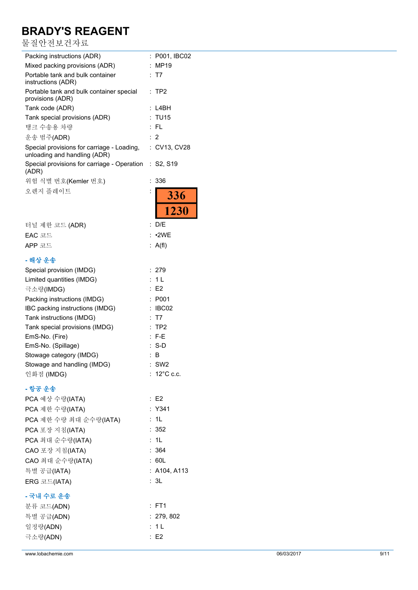물질안전보건자료

| Packing instructions (ADR)                                                 |                      | : P001, IBC02         |
|----------------------------------------------------------------------------|----------------------|-----------------------|
| Mixed packing provisions (ADR)                                             |                      | MP19                  |
| Portable tank and bulk container<br>instructions (ADR)                     |                      | : T7                  |
| Portable tank and bulk container special<br>provisions (ADR)               | ÷.                   | TP <sub>2</sub>       |
| Tank code (ADR)                                                            |                      | L4BH                  |
| Tank special provisions (ADR)                                              |                      | : TU15                |
| 탱크 수송용 차량                                                                  |                      | : FL                  |
| 운송 범주(ADR)                                                                 |                      | : 2                   |
| Special provisions for carriage - Loading,<br>unloading and handling (ADR) |                      | : CV13, CV28          |
| Special provisions for carriage - Operation : S2, S19<br>(ADR)             |                      |                       |
| 위험 식별 번호(Kemler 번호)                                                        | $\ddot{\phantom{a}}$ | 336                   |
| 오렌지 플레이트                                                                   |                      |                       |
|                                                                            |                      | 336                   |
|                                                                            |                      | 1230                  |
| 터널 제한 코드 (ADR)                                                             |                      | D/F                   |
| EAC 코드                                                                     |                      | ∶ ∙2WE                |
| APP 코드                                                                     |                      | : $A(f)$              |
|                                                                            |                      |                       |
| - 해상 운송                                                                    |                      |                       |
| Special provision (IMDG)                                                   |                      | : 279                 |
| Limited quantities (IMDG)                                                  |                      | 1 L                   |
| 극소량(IMDG)                                                                  |                      | E <sub>2</sub>        |
| Packing instructions (IMDG)                                                |                      | : P001                |
| IBC packing instructions (IMDG)                                            |                      | IBC02                 |
| Tank instructions (IMDG)<br>Tank special provisions (IMDG)                 |                      | T7<br>TP <sub>2</sub> |
| EmS-No. (Fire)                                                             |                      | : F-E                 |
| EmS-No. (Spillage)                                                         |                      | $: S-D$               |
| Stowage category (IMDG)                                                    | $\ddot{\cdot}$       | B                     |
| Stowage and handling (IMDG)                                                |                      | :SW2                  |
| 인화점 (IMDG)                                                                 |                      | : $12^{\circ}$ C c.c. |
|                                                                            |                      |                       |
| - 항공 운송<br>PCA 예상 수량(IATA)                                                 |                      | : E2                  |
| PCA 제한 수량(IATA)                                                            |                      | : Y341                |
|                                                                            |                      | : 1L                  |
| PCA 제한 수량 최대 순수량(IATA)                                                     |                      | : 352                 |
| PCA 포장 지침(IATA)                                                            |                      |                       |
| PCA 최대 순수량(IATA)                                                           |                      | : 1L                  |
| CAO 포장 지침(IATA)                                                            |                      | : 364                 |
| CAO 최대 순수량(IATA)                                                           |                      | : 60L                 |
| 특별 공급(IATA)                                                                |                      | : A104, A113          |
| ERG 코드(IATA)                                                               |                      | : 3L                  |
| - 국내 수로 운송                                                                 |                      |                       |
| 분류 코드(ADN)                                                                 |                      | : FT1                 |
| 특별 공급(ADN)                                                                 |                      | : 279, 802            |
| 일정량(ADN)                                                                   |                      | : 1L                  |
| 극소량(ADN)                                                                   |                      | : E2                  |
|                                                                            |                      |                       |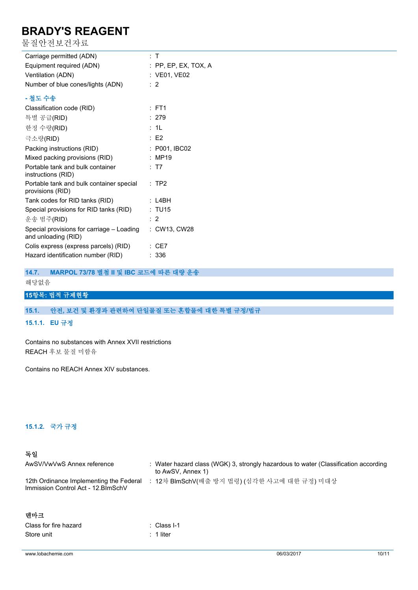물질안전보건자료

| Carriage permitted (ADN)                                         | : T                  |
|------------------------------------------------------------------|----------------------|
| Equipment required (ADN)                                         | : PP, EP, EX, TOX, A |
| Ventilation (ADN)                                                | : VE01, VE02         |
| Number of blue cones/lights (ADN)                                | : 2                  |
| - 철도 수송                                                          |                      |
| Classification code (RID)                                        | $:$ FT1              |
| 특별 공급(RID)                                                       | : 279                |
| 한정 수량(RID)                                                       | : 1L                 |
| 극소량(RID)                                                         | E2                   |
| Packing instructions (RID)                                       | : P001, IBC02        |
| Mixed packing provisions (RID)                                   | : MP19               |
| Portable tank and bulk container<br>instructions (RID)           | : T7                 |
| Portable tank and bulk container special<br>provisions (RID)     | $:$ TP2              |
| Tank codes for RID tanks (RID)                                   | : L4BH               |
| Special provisions for RID tanks (RID)                           | : TU15               |
| 운송 범주(RID)                                                       | : 2                  |
| Special provisions for carriage - Loading<br>and unloading (RID) | : CW13, CW28         |
| Colis express (express parcels) (RID)                            | CE7                  |
| Hazard identification number (RID)                               | : 336                |

**14.7. MARPOL 73/78 별첨 II 및 IBC 코드에 따른 대량 운송** 해당없음

**15항목: 법적 규제현황**

### **15.1. 안전, 보건 및 환경과 관련하여 단일물질 또는 혼합물에 대한 특별 규정/법규**

**15.1.1. EU 규정**

Contains no substances with Annex XVII restrictions REACH 후보 물질 미함유

Contains no REACH Annex XIV substances.

#### **15.1.2. 국가 규정**

### **독일**

| AwSV/VwVwS Annex reference                                                     | Water hazard class (WGK) 3, strongly hazardous to water (Classification according<br>to AwSV, Annex 1) |
|--------------------------------------------------------------------------------|--------------------------------------------------------------------------------------------------------|
| 12th Ordinance Implementing the Federal<br>Immission Control Act - 12. BlmSchV | 12차 BlmSchV(배출 방지 법령) (심각한 사고에 대한 규정) 미대상                                                              |

## **덴마크**

| Class for fire hazard | : Class I-1          |
|-----------------------|----------------------|
| Store unit            | $\therefore$ 1 liter |